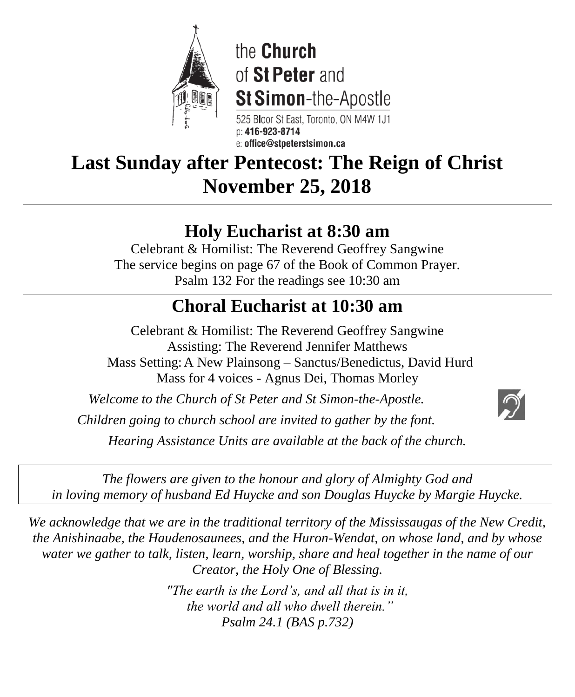

the Church of St Peter and **St Simon-the-Apostle** 

525 Bloor St East, Toronto, ON M4W 1J1 D: 416-923-8714 e: office@stpeterstsimon.ca

**Last Sunday after Pentecost: The Reign of Christ November 25, 2018**

# **Holy Eucharist at 8:30 am**

Celebrant & Homilist: The Reverend Geoffrey Sangwine The service begins on page 67 of the Book of Common Prayer. Psalm 132 For the readings see 10:30 am

# **Choral Eucharist at 10:30 am**

Celebrant & Homilist: The Reverend Geoffrey Sangwine Assisting: The Reverend Jennifer Matthews Mass Setting:A New Plainsong – Sanctus/Benedictus, David Hurd Mass for 4 voices - Agnus Dei, Thomas Morley

*Welcome to the Church of St Peter and St Simon-the-Apostle.* 

*Children going to church school are invited to gather by the font.*

*Hearing Assistance Units are available at the back of the church.*

*The flowers are given to the honour and glory of Almighty God and in loving memory of husband Ed Huycke and son Douglas Huycke by Margie Huycke.*

*We acknowledge that we are in the traditional territory of the Mississaugas of the New Credit, the Anishinaabe, the Haudenosaunees, and the Huron-Wendat, on whose land, and by whose water we gather to talk, listen, learn, worship, share and heal together in the name of our Creator, the Holy One of Blessing.*

> *"The earth is the Lord's, and all that is in it, the world and all who dwell therein." Psalm 24.1 (BAS p.732)*

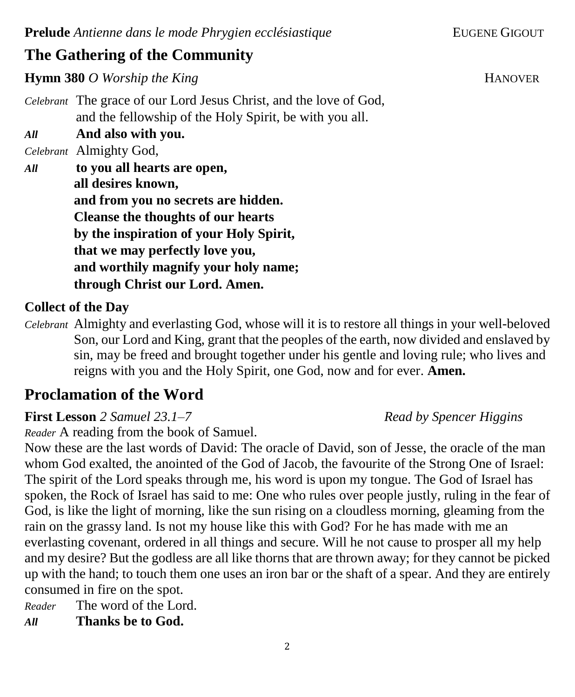## **The Gathering of the Community**

**Hymn 380** *O* Worship the King **Fig. 2018 HANOVER** 

*Celebrant* The grace of our Lord Jesus Christ, and the love of God, and the fellowship of the Holy Spirit, be with you all.

*All* **And also with you.**

*Celebrant* Almighty God,

*All* **to you all hearts are open, all desires known, and from you no secrets are hidden. Cleanse the thoughts of our hearts by the inspiration of your Holy Spirit, that we may perfectly love you, and worthily magnify your holy name; through Christ our Lord. Amen.**

## **Collect of the Day**

*Celebrant* Almighty and everlasting God, whose will it is to restore all things in your well-beloved Son, our Lord and King, grant that the peoples of the earth, now divided and enslaved by sin, may be freed and brought together under his gentle and loving rule; who lives and reigns with you and the Holy Spirit, one God, now and for ever. **Amen.** 

## **Proclamation of the Word**

**First Lesson** *2 Samuel 23.1–7**Read by Spencer Higgins*

*Reader* A reading from the book of Samuel.

Now these are the last words of David: The oracle of David, son of Jesse, the oracle of the man whom God exalted, the anointed of the God of Jacob, the favourite of the Strong One of Israel: The spirit of the Lord speaks through me, his word is upon my tongue. The God of Israel has spoken, the Rock of Israel has said to me: One who rules over people justly, ruling in the fear of God, is like the light of morning, like the sun rising on a cloudless morning, gleaming from the rain on the grassy land. Is not my house like this with God? For he has made with me an everlasting covenant, ordered in all things and secure. Will he not cause to prosper all my help and my desire? But the godless are all like thorns that are thrown away; for they cannot be picked up with the hand; to touch them one uses an iron bar or the shaft of a spear. And they are entirely consumed in fire on the spot.

*Reader* The word of the Lord. *All* **Thanks be to God.**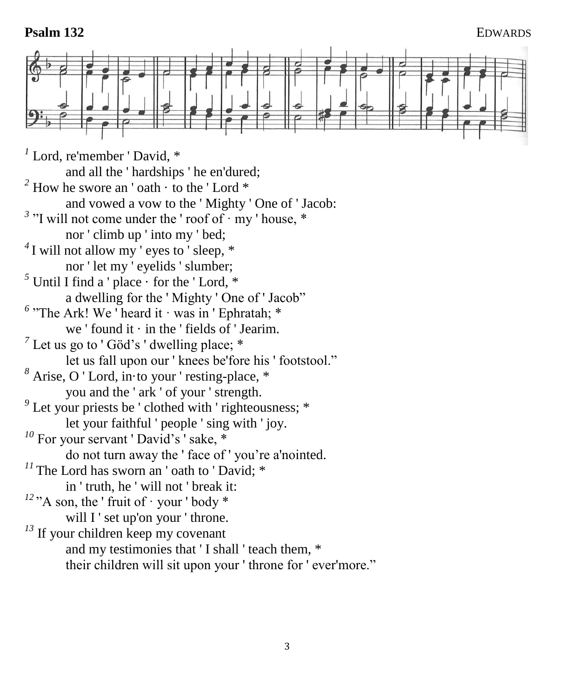#### **Psalm 132** EDWARDS

*1* Lord, re'member ' David, \* and all the ' hardships ' he en'dured;  $2^2$  How he swore an 'oath  $\cdot$  to the 'Lord  $*$ and vowed a vow to the ' Mighty ' One of ' Jacob:  $3$  "I will not come under the ' roof of  $\cdot$  my ' house,  $*$ nor ' climb up ' into my ' bed; <sup>4</sup>I will not allow my ' eyes to ' sleep,  $*$ nor ' let my ' eyelids ' slumber;  $<sup>5</sup>$  Until I find a ' place  $\cdot$  for the ' Lord,  $*$ </sup> a dwelling for the ' Mighty ' One of ' Jacob" <sup>6</sup> "The Ark! We ' heard it · was in ' Ephratah; \* we ' found it  $\cdot$  in the ' fields of ' Jearim.  $<sup>7</sup>$  Let us go to 'Göd's ' dwelling place;  $*$ </sup> let us fall upon our ' knees be'fore his ' footstool." *<sup>8</sup>* Arise, O ' Lord, in·to your ' resting-place, \* you and the ' ark ' of your ' strength. <sup>9</sup> Let your priests be ' clothed with ' righteousness; \* let your faithful ' people ' sing with ' joy. <sup>10</sup> For your servant 'David's ' sake, \* do not turn away the ' face of ' you're a'nointed.  $11$ <sup>The Lord has sworn an 'oath to 'David;  $*$ </sup> in ' truth, he ' will not ' break it:  $12$ <sup>2</sup> A son, the ' fruit of  $\cdot$  your ' body \* will I ' set up'on your ' throne. <sup>13</sup> If your children keep my covenant and my testimonies that ' I shall ' teach them, \* their children will sit upon your ' throne for ' ever'more."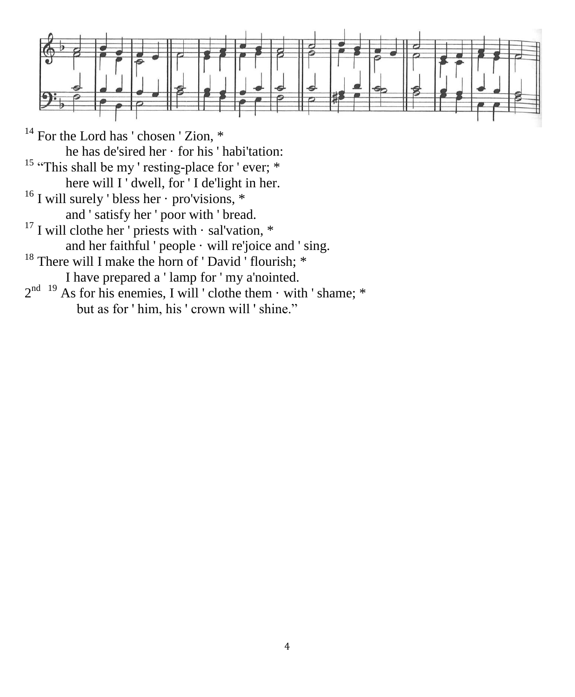

- $14$  For the Lord has ' chosen ' Zion,  $*$ he has de'sired her · for his ' habi'tation: <sup>15</sup> "This shall be my ' resting-place for ' ever; \* here will I ' dwell, for ' I de'light in her. <sup>16</sup> I will surely ' bless her · pro'visions, \* and ' satisfy her ' poor with ' bread.  $17$  I will clothe her ' priests with  $\cdot$  sal'vation,  $*$ and her faithful ' people · will re'joice and ' sing. <sup>18</sup> There will I make the horn of ' David ' flourish; \* I have prepared a ' lamp for ' my a'nointed.  $2^{nd}$ <sup>19</sup> As for his enemies, I will ' clothe them  $\cdot$  with ' shame; \*
	- but as for ' him, his ' crown will ' shine."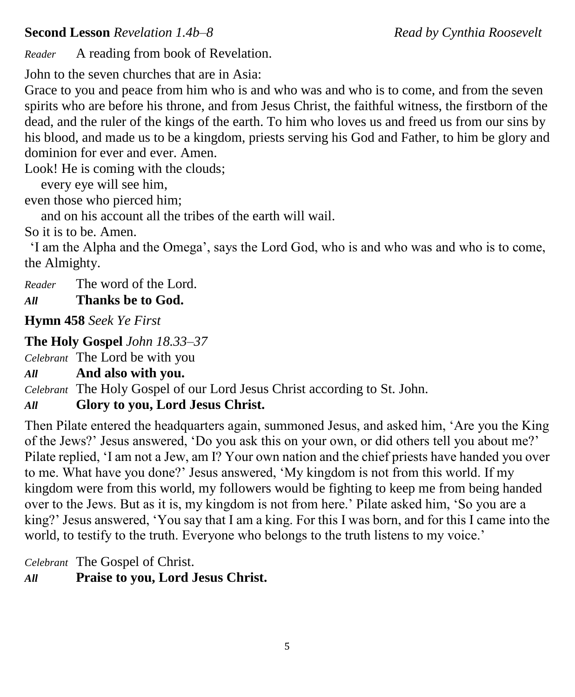*Reader* A reading from book of Revelation.

John to the seven churches that are in Asia:

Grace to you and peace from him who is and who was and who is to come, and from the seven spirits who are before his throne, and from Jesus Christ, the faithful witness, the firstborn of the dead, and the ruler of the kings of the earth. To him who loves us and freed us from our sins by his blood, and made us to be a kingdom, priests serving his God and Father, to him be glory and dominion for ever and ever. Amen.

Look! He is coming with the clouds;

every eye will see him,

even those who pierced him;

and on his account all the tribes of the earth will wail.

So it is to be. Amen.

'I am the Alpha and the Omega', says the Lord God, who is and who was and who is to come, the Almighty.

*Reader* The word of the Lord. *All* **Thanks be to God.**

**Hymn 458** *Seek Ye First* 

## **The Holy Gospel** *John 18.33–37*

*Celebrant* The Lord be with you

*All* **And also with you.**

*Celebrant* The Holy Gospel of our Lord Jesus Christ according to St. John.

## *All* **Glory to you, Lord Jesus Christ.**

Then Pilate entered the headquarters again, summoned Jesus, and asked him, 'Are you the King of the Jews?' Jesus answered, 'Do you ask this on your own, or did others tell you about me?' Pilate replied, 'I am not a Jew, am I? Your own nation and the chief priests have handed you over to me. What have you done?' Jesus answered, 'My kingdom is not from this world. If my kingdom were from this world, my followers would be fighting to keep me from being handed over to the Jews. But as it is, my kingdom is not from here.' Pilate asked him, 'So you are a king?' Jesus answered, 'You say that I am a king. For this I was born, and for this I came into the world, to testify to the truth. Everyone who belongs to the truth listens to my voice.'

*Celebrant* The Gospel of Christ.

*All* **Praise to you, Lord Jesus Christ.**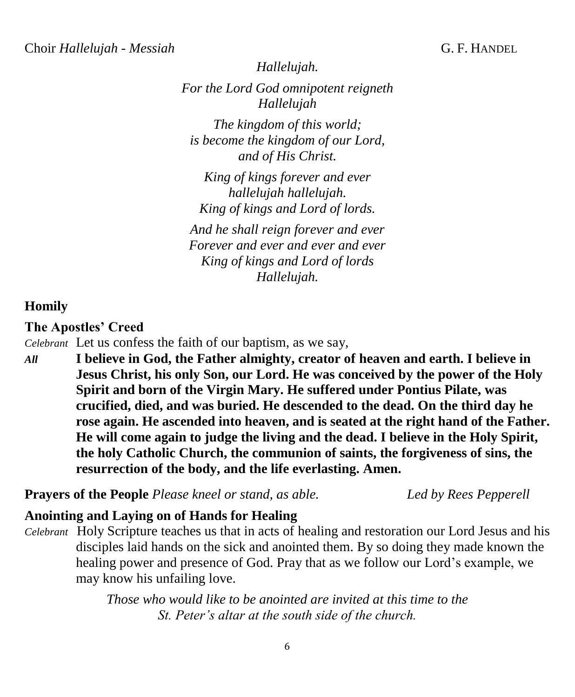*Hallelujah.*

*For the Lord God omnipotent reigneth Hallelujah The kingdom of this world;*

*is become the kingdom of our Lord, and of His Christ.*

*King of kings forever and ever hallelujah hallelujah. King of kings and Lord of lords.*

*And he shall reign forever and ever Forever and ever and ever and ever King of kings and Lord of lords Hallelujah.*

#### **Homily**

#### **The Apostles' Creed**

*Celebrant* Let us confess the faith of our baptism, as we say,

*All* **I believe in God, the Father almighty, creator of heaven and earth. I believe in Jesus Christ, his only Son, our Lord. He was conceived by the power of the Holy Spirit and born of the Virgin Mary. He suffered under Pontius Pilate, was crucified, died, and was buried. He descended to the dead. On the third day he rose again. He ascended into heaven, and is seated at the right hand of the Father. He will come again to judge the living and the dead. I believe in the Holy Spirit, the holy Catholic Church, the communion of saints, the forgiveness of sins, the resurrection of the body, and the life everlasting. Amen.**

**Prayers of the People** *Please kneel or stand, as able. Led by Rees Pepperell* 

#### **Anointing and Laying on of Hands for Healing**

*Celebrant* Holy Scripture teaches us that in acts of healing and restoration our Lord Jesus and his disciples laid hands on the sick and anointed them. By so doing they made known the healing power and presence of God. Pray that as we follow our Lord's example, we may know his unfailing love.

> *Those who would like to be anointed are invited at this time to the St. Peter's altar at the south side of the church.*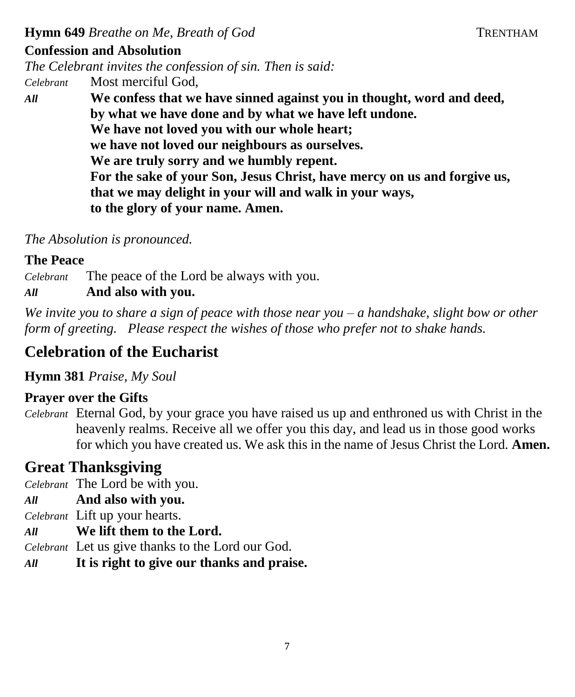**Hymn 649** *Breathe on Me, Breath of God* **TRENTHAM** 

### **Confession and Absolution**

*The Celebrant invites the confession of sin. Then is said: Celebrant* Most merciful God,

*All* **We confess that we have sinned against you in thought, word and deed, by what we have done and by what we have left undone. We have not loved you with our whole heart; we have not loved our neighbours as ourselves. We are truly sorry and we humbly repent. For the sake of your Son, Jesus Christ, have mercy on us and forgive us, that we may delight in your will and walk in your ways, to the glory of your name. Amen.** 

*The Absolution is pronounced.*

#### **The Peace**

*Celebrant* The peace of the Lord be always with you.

## *All* **And also with you.**

*We invite you to share a sign of peace with those near you – a handshake, slight bow or other form of greeting. Please respect the wishes of those who prefer not to shake hands.*

## **Celebration of the Eucharist**

**Hymn 381** *Praise, My Soul* 

## **Prayer over the Gifts**

*Celebrant* Eternal God, by your grace you have raised us up and enthroned us with Christ in the heavenly realms. Receive all we offer you this day, and lead us in those good works for which you have created us. We ask this in the name of Jesus Christ the Lord. **Amen.**

## **Great Thanksgiving**

*Celebrant* The Lord be with you.

- *All* **And also with you.**
- *Celebrant* Lift up your hearts.
- *All* **We lift them to the Lord.**

*Celebrant* Let us give thanks to the Lord our God.

*All* **It is right to give our thanks and praise.**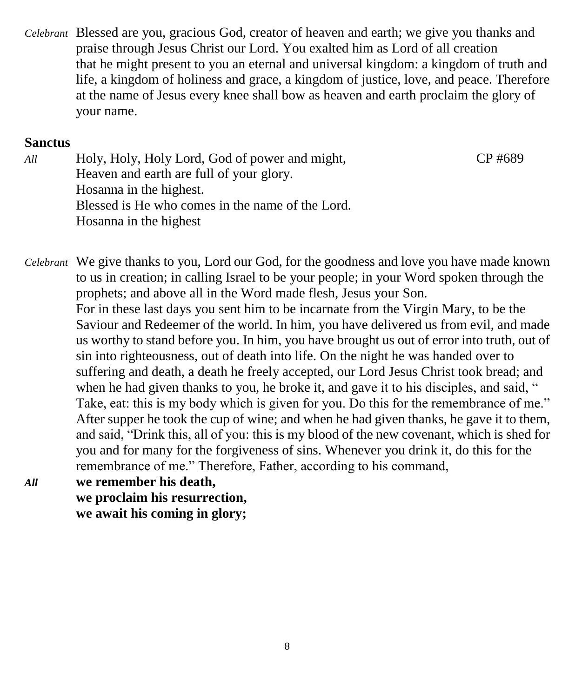*Celebrant* Blessed are you, gracious God, creator of heaven and earth; we give you thanks and praise through Jesus Christ our Lord. You exalted him as Lord of all creation that he might present to you an eternal and universal kingdom: a kingdom of truth and life, a kingdom of holiness and grace, a kingdom of justice, love, and peace. Therefore at the name of Jesus every knee shall bow as heaven and earth proclaim the glory of your name.

#### **Sanctus**

*All* Holy, Holy, Holy Lord, God of power and might, CP #689 Heaven and earth are full of your glory. Hosanna in the highest. Blessed is He who comes in the name of the Lord. Hosanna in the highest

*Celebrant* We give thanks to you, Lord our God, for the goodness and love you have made known to us in creation; in calling Israel to be your people; in your Word spoken through the prophets; and above all in the Word made flesh, Jesus your Son. For in these last days you sent him to be incarnate from the Virgin Mary, to be the Saviour and Redeemer of the world. In him, you have delivered us from evil, and made us worthy to stand before you. In him, you have brought us out of error into truth, out of sin into righteousness, out of death into life. On the night he was handed over to suffering and death, a death he freely accepted, our Lord Jesus Christ took bread; and when he had given thanks to you, he broke it, and gave it to his disciples, and said, " Take, eat: this is my body which is given for you. Do this for the remembrance of me." After supper he took the cup of wine; and when he had given thanks, he gave it to them, and said, "Drink this, all of you: this is my blood of the new covenant, which is shed for you and for many for the forgiveness of sins. Whenever you drink it, do this for the remembrance of me." Therefore, Father, according to his command,

*All* **we remember his death, we proclaim his resurrection, we await his coming in glory;**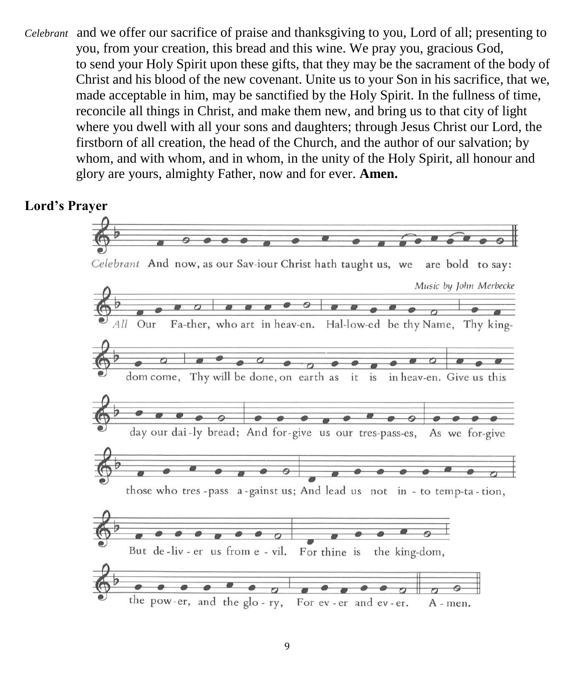*Celebrant* and we offer our sacrifice of praise and thanksgiving to you, Lord of all; presenting to you, from your creation, this bread and this wine. We pray you, gracious God, to send your Holy Spirit upon these gifts, that they may be the sacrament of the body of Christ and his blood of the new covenant. Unite us to your Son in his sacrifice, that we, made acceptable in him, may be sanctified by the Holy Spirit. In the fullness of time, reconcile all things in Christ, and make them new, and bring us to that city of light where you dwell with all your sons and daughters; through Jesus Christ our Lord, the firstborn of all creation, the head of the Church, and the author of our salvation; by whom, and with whom, and in whom, in the unity of the Holy Spirit, all honour and glory are yours, almighty Father, now and for ever. **Amen.**

#### **Lord's Prayer**

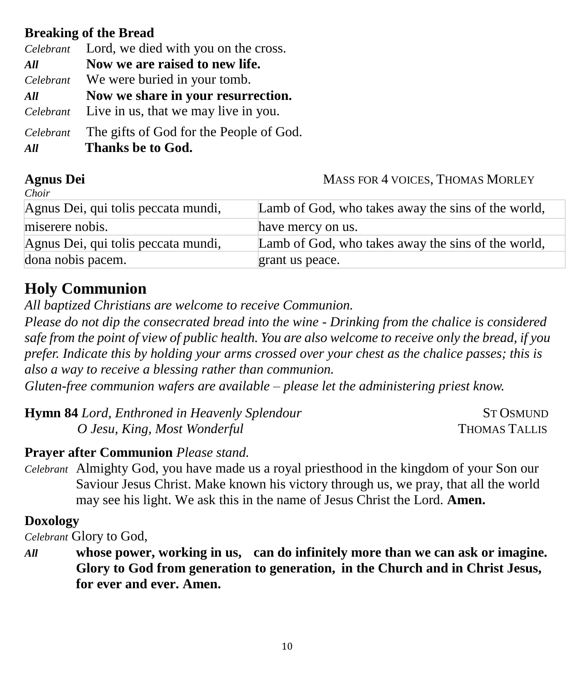## **Breaking of the Bread**

|           | Celebrant Lord, we died with you on the cross. |  |
|-----------|------------------------------------------------|--|
| All       | Now we are raised to new life.                 |  |
|           | Celebrant We were buried in your tomb.         |  |
| All       | Now we share in your resurrection.             |  |
|           | Celebrant Live in us, that we may live in you. |  |
| Celebrant | The gifts of God for the People of God.        |  |
| All       | Thanks be to God.                              |  |

### **Agnus Dei** MASS FOR 4 VOICES, THOMAS MORLEY

| Choir                               |                                                    |
|-------------------------------------|----------------------------------------------------|
| Agnus Dei, qui tolis peccata mundi, | Lamb of God, who takes away the sins of the world, |
| miserere nobis.                     | have mercy on us.                                  |
| Agnus Dei, qui tolis peccata mundi, | Lamb of God, who takes away the sins of the world, |
| dona nobis pacem.                   | grant us peace.                                    |

## **Holy Communion**

*All baptized Christians are welcome to receive Communion.*

*Please do not dip the consecrated bread into the wine - Drinking from the chalice is considered safe from the point of view of public health. You are also welcome to receive only the bread, if you prefer. Indicate this by holding your arms crossed over your chest as the chalice passes; this is also a way to receive a blessing rather than communion.*

*Gluten-free communion wafers are available – please let the administering priest know.*

| <b>Hymn 84</b> Lord, Enthroned in Heavenly Splendour | <b>ST OSMUND</b>     |
|------------------------------------------------------|----------------------|
| O Jesu, King, Most Wonderful                         | <b>THOMAS TALLIS</b> |

## **Prayer after Communion** *Please stand.*

*Celebrant* Almighty God, you have made us a royal priesthood in the kingdom of your Son our Saviour Jesus Christ. Make known his victory through us, we pray, that all the world may see his light. We ask this in the name of Jesus Christ the Lord. **Amen.**

## **Doxology**

*Celebrant* Glory to God,

*All* **whose power, working in us, can do infinitely more than we can ask or imagine. Glory to God from generation to generation, in the Church and in Christ Jesus, for ever and ever. Amen.**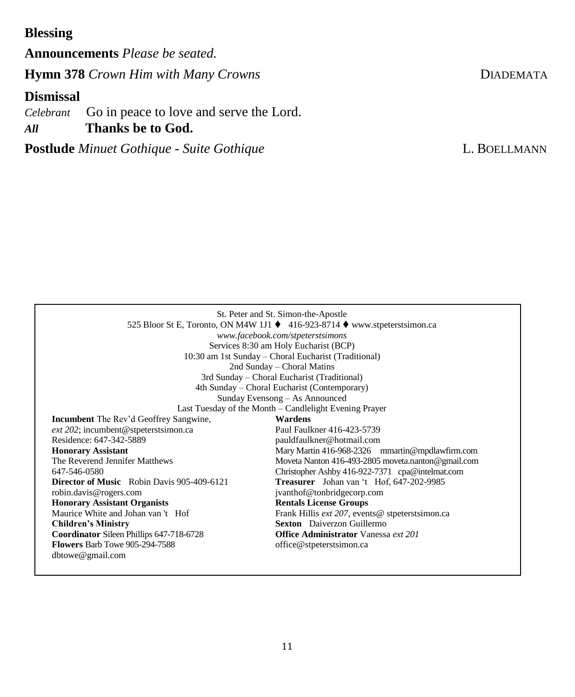## **Blessing**

**Announcements** *Please be seated.* **Hymn 378** *Crown Him with Many Crowns* **DIADEMATA** 

### **Dismissal**

*Celebrant* Go in peace to love and serve the Lord. *All* **Thanks be to God.**

**Postlude** *Minuet Gothique - Suite Gothique* **L. BOELLMANN** 

| St. Peter and St. Simon-the-Apostle<br>525 Bloor St E, Toronto, ON M4W 1J1 ♦ 416-923-8714 ♦ www.stpeterstsimon.ca<br>www.facebook.com/stpeterstsimons<br>Services 8:30 am Holy Eucharist (BCP)<br>10:30 am 1st Sunday – Choral Eucharist (Traditional)<br>2nd Sunday – Choral Matins<br>3rd Sunday – Choral Eucharist (Traditional)<br>4th Sunday – Choral Eucharist (Contemporary) |                                                    |  |  |
|-------------------------------------------------------------------------------------------------------------------------------------------------------------------------------------------------------------------------------------------------------------------------------------------------------------------------------------------------------------------------------------|----------------------------------------------------|--|--|
| Sunday Evensong – As Announced<br>Last Tuesday of the Month – Candlelight Evening Prayer                                                                                                                                                                                                                                                                                            |                                                    |  |  |
| <b>Incumbent</b> The Rev'd Geoffrey Sangwine,                                                                                                                                                                                                                                                                                                                                       | Wardens                                            |  |  |
| $ext$ 202; incumbent@stpeterstsimon.ca                                                                                                                                                                                                                                                                                                                                              | Paul Faulkner 416-423-5739                         |  |  |
| Residence: 647-342-5889                                                                                                                                                                                                                                                                                                                                                             | pauldfaulkner@hotmail.com                          |  |  |
| <b>Honorary Assistant</b>                                                                                                                                                                                                                                                                                                                                                           | Mary Martin 416-968-2326 mmartin@mpdlawfirm.com    |  |  |
| The Reverend Jennifer Matthews                                                                                                                                                                                                                                                                                                                                                      | Moveta Nanton 416-493-2805 moveta.nanton@gmail.com |  |  |
| 647-546-0580                                                                                                                                                                                                                                                                                                                                                                        | Christopher Ashby 416-922-7371 cpa@intelmat.com    |  |  |
| <b>Director of Music</b> Robin Davis 905-409-6121                                                                                                                                                                                                                                                                                                                                   | Treasurer Johan van 't Hof, 647-202-9985           |  |  |
| robin.davis@rogers.com                                                                                                                                                                                                                                                                                                                                                              | jvanthof@tonbridgecorp.com                         |  |  |
| <b>Honorary Assistant Organists</b>                                                                                                                                                                                                                                                                                                                                                 | <b>Rentals License Groups</b>                      |  |  |
| Maurice White and Johan van 't Hof                                                                                                                                                                                                                                                                                                                                                  | Frank Hillis ext 207, events@ stpeterstsimon.ca    |  |  |
| <b>Children's Ministry</b>                                                                                                                                                                                                                                                                                                                                                          | <b>Sexton</b> Daiverzon Guillermo                  |  |  |
| Coordinator Sileen Phillips 647-718-6728                                                                                                                                                                                                                                                                                                                                            | <b>Office Administrator</b> Vanessa <i>ext</i> 201 |  |  |
| <b>Flowers Barb Towe 905-294-7588</b><br>dbtowe@gmail.com                                                                                                                                                                                                                                                                                                                           | office@stpeterstsimon.ca                           |  |  |